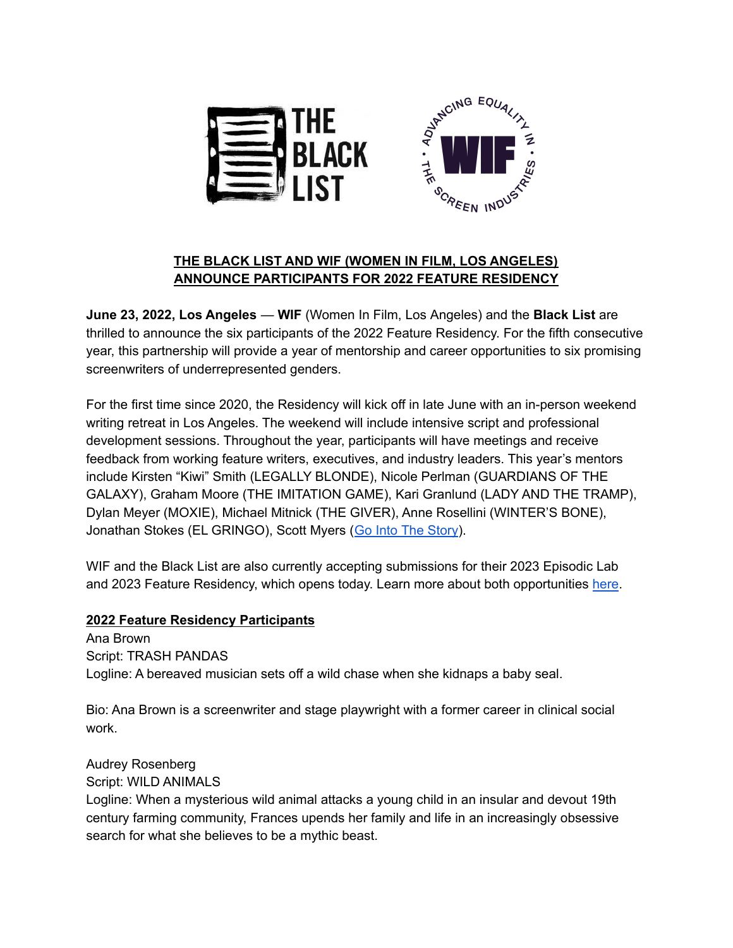



# **THE BLACK LIST AND WIF (WOMEN IN FILM, LOS ANGELES) ANNOUNCE PARTICIPANTS FOR 2022 FEATURE RESIDENCY**

**June 23, 2022, Los Angeles** — **WIF** (Women In Film, Los Angeles) and the **Black List** are thrilled to announce the six participants of the 2022 Feature Residency. For the fifth consecutive year, this partnership will provide a year of mentorship and career opportunities to six promising screenwriters of underrepresented genders.

For the first time since 2020, the Residency will kick off in late June with an in-person weekend writing retreat in Los Angeles. The weekend will include intensive script and professional development sessions. Throughout the year, participants will have meetings and receive feedback from working feature writers, executives, and industry leaders. This year's mentors include Kirsten "Kiwi" Smith (LEGALLY BLONDE), Nicole Perlman (GUARDIANS OF THE GALAXY), Graham Moore (THE IMITATION GAME), Kari Granlund (LADY AND THE TRAMP), Dylan Meyer (MOXIE), Michael Mitnick (THE GIVER), Anne Rosellini (WINTER'S BONE), Jonathan Stokes (EL GRINGO), Scott Myers (Go Into The [Story\)](https://gointothestory.blcklst.com/).

WIF and the Black List are also currently accepting submissions for their 2023 Episodic Lab and 2023 Feature Residency, which opens today. Learn more about both opportunities [here](http://www.blcklst.com/partnerships).

### **2022 Feature Residency Participants**

Ana Brown Script: TRASH PANDAS Logline: A bereaved musician sets off a wild chase when she kidnaps a baby seal.

Bio: Ana Brown is a screenwriter and stage playwright with a former career in clinical social work.

### Audrey Rosenberg Script: WILD ANIMALS

Logline: When a mysterious wild animal attacks a young child in an insular and devout 19th century farming community, Frances upends her family and life in an increasingly obsessive search for what she believes to be a mythic beast.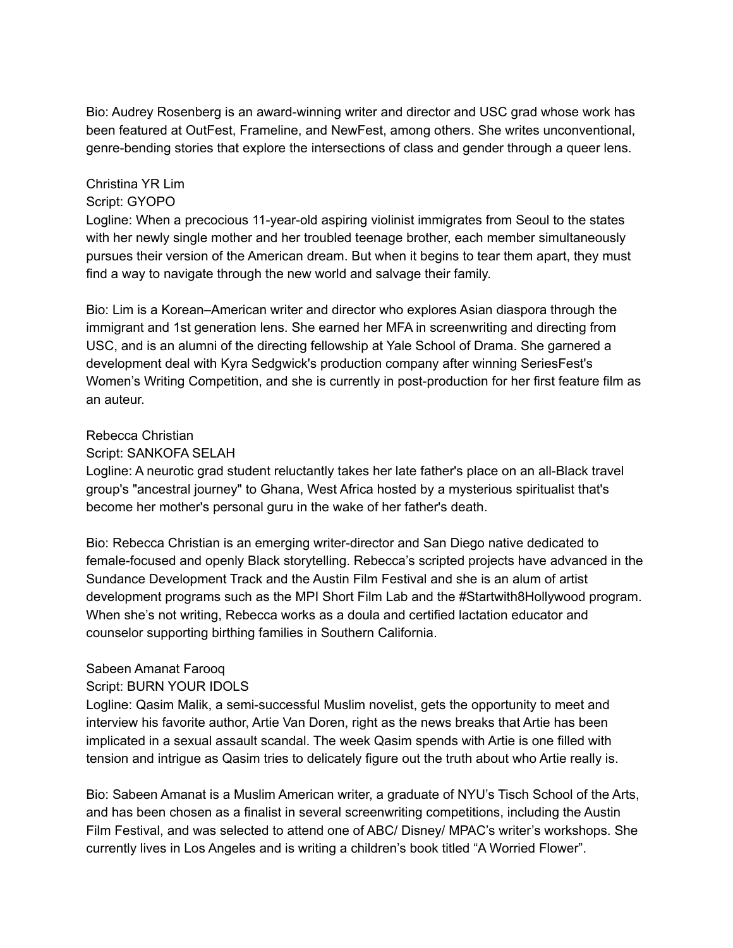Bio: Audrey Rosenberg is an award-winning writer and director and USC grad whose work has been featured at OutFest, Frameline, and NewFest, among others. She writes unconventional, genre-bending stories that explore the intersections of class and gender through a queer lens.

#### Christina YR Lim Script: GYOPO

Logline: When a precocious 11-year-old aspiring violinist immigrates from Seoul to the states with her newly single mother and her troubled teenage brother, each member simultaneously pursues their version of the American dream. But when it begins to tear them apart, they must find a way to navigate through the new world and salvage their family.

Bio: Lim is a Korean–American writer and director who explores Asian diaspora through the immigrant and 1st generation lens. She earned her MFA in screenwriting and directing from USC, and is an alumni of the directing fellowship at Yale School of Drama. She garnered a development deal with Kyra Sedgwick's production company after winning SeriesFest's Women's Writing Competition, and she is currently in post-production for her first feature film as an auteur.

#### Rebecca Christian

#### Script: SANKOFA SELAH

Logline: A neurotic grad student reluctantly takes her late father's place on an all-Black travel group's "ancestral journey" to Ghana, West Africa hosted by a mysterious spiritualist that's become her mother's personal guru in the wake of her father's death.

Bio: Rebecca Christian is an emerging writer-director and San Diego native dedicated to female-focused and openly Black storytelling. Rebecca's scripted projects have advanced in the Sundance Development Track and the Austin Film Festival and she is an alum of artist development programs such as the MPI Short Film Lab and the #Startwith8Hollywood program. When she's not writing, Rebecca works as a doula and certified lactation educator and counselor supporting birthing families in Southern California.

### Sabeen Amanat Farooq

### Script: BURN YOUR IDOLS

Logline: Qasim Malik, a semi-successful Muslim novelist, gets the opportunity to meet and interview his favorite author, Artie Van Doren, right as the news breaks that Artie has been implicated in a sexual assault scandal. The week Qasim spends with Artie is one filled with tension and intrigue as Qasim tries to delicately figure out the truth about who Artie really is.

Bio: Sabeen Amanat is a Muslim American writer, a graduate of NYU's Tisch School of the Arts, and has been chosen as a finalist in several screenwriting competitions, including the Austin Film Festival, and was selected to attend one of ABC/ Disney/ MPAC's writer's workshops. She currently lives in Los Angeles and is writing a children's book titled "A Worried Flower".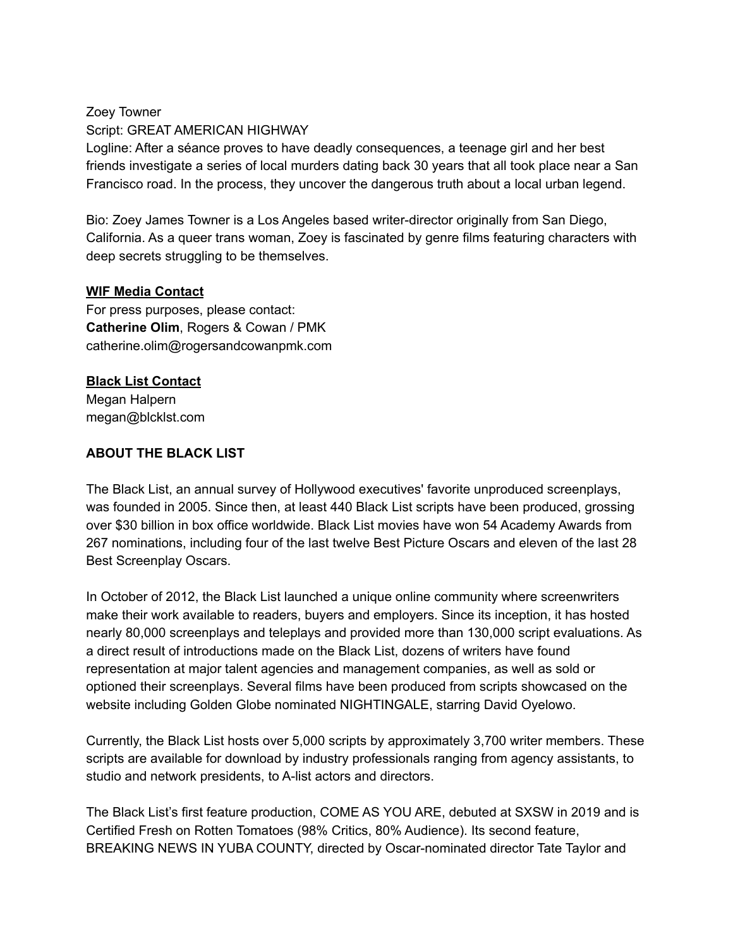Zoey Towner Script: GREAT AMERICAN HIGHWAY Logline: After a séance proves to have deadly consequences, a teenage girl and her best friends investigate a series of local murders dating back 30 years that all took place near a San Francisco road. In the process, they uncover the dangerous truth about a local urban legend.

Bio: Zoey James Towner is a Los Angeles based writer-director originally from San Diego, California. As a queer trans woman, Zoey is fascinated by genre films featuring characters with deep secrets struggling to be themselves.

#### **WIF Media Contact**

For press purposes, please contact: **Catherine Olim**, Rogers & Cowan / PMK catherine.olim@rogersandcowanpmk.com

# **Black List Contact**

Megan Halpern megan@blcklst.com

### **ABOUT THE BLACK LIST**

The Black List, an annual survey of Hollywood executives' favorite unproduced screenplays, was founded in 2005. Since then, at least 440 Black List scripts have been produced, grossing over \$30 billion in box office worldwide. Black List movies have won 54 Academy Awards from 267 nominations, including four of the last twelve Best Picture Oscars and eleven of the last 28 Best Screenplay Oscars.

In October of 2012, the Black List launched a unique online community where screenwriters make their work available to readers, buyers and employers. Since its inception, it has hosted nearly 80,000 screenplays and teleplays and provided more than 130,000 script evaluations. As a direct result of introductions made on the Black List, dozens of writers have found representation at major talent agencies and management companies, as well as sold or optioned their screenplays. Several films have been produced from scripts showcased on the website including Golden Globe nominated NIGHTINGALE, starring David Oyelowo.

Currently, the Black List hosts over 5,000 scripts by approximately 3,700 writer members. These scripts are available for download by industry professionals ranging from agency assistants, to studio and network presidents, to A-list actors and directors.

The Black List's first feature production, COME AS YOU ARE, debuted at SXSW in 2019 and is Certified Fresh on Rotten Tomatoes (98% Critics, 80% Audience). Its second feature, BREAKING NEWS IN YUBA COUNTY, directed by Oscar-nominated director Tate Taylor and